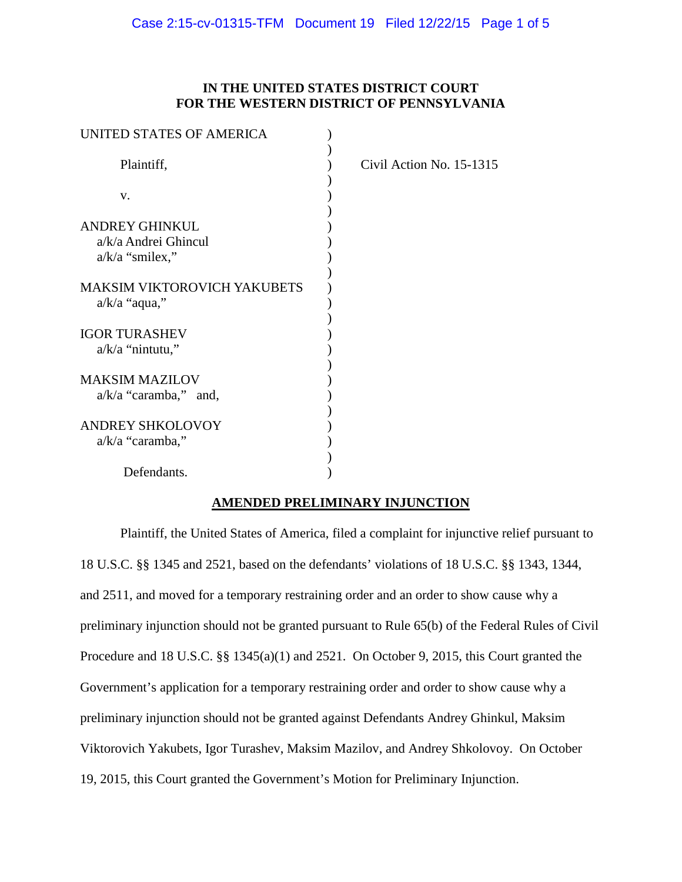# **IN THE UNITED STATES DISTRICT COURT FOR THE WESTERN DISTRICT OF PENNSYLVANIA**

| UNITED STATES OF AMERICA                   |                          |
|--------------------------------------------|--------------------------|
| Plaintiff,                                 | Civil Action No. 15-1315 |
| V.                                         |                          |
|                                            |                          |
| <b>ANDREY GHINKUL</b>                      |                          |
| a/k/a Andrei Ghincul                       |                          |
| $a/k/a$ "smilex,"                          |                          |
| <b>MAKSIM VIKTOROVICH YAKUBETS</b>         |                          |
| $a/k/a$ "aqua,"                            |                          |
| <b>IGOR TURASHEV</b><br>$a/k/a$ "nintutu," |                          |
|                                            |                          |
| <b>MAKSIM MAZILOV</b>                      |                          |
| $a/k/a$ "caramba," and,                    |                          |
|                                            |                          |
| <b>ANDREY SHKOLOVOY</b>                    |                          |
| $a/k/a$ "caramba,"                         |                          |
|                                            |                          |
| Defendants.                                |                          |

# **AMENDED PRELIMINARY INJUNCTION**

Plaintiff, the United States of America, filed a complaint for injunctive relief pursuant to 18 U.S.C. §§ 1345 and 2521, based on the defendants' violations of 18 U.S.C. §§ 1343, 1344, and 2511, and moved for a temporary restraining order and an order to show cause why a preliminary injunction should not be granted pursuant to Rule 65(b) of the Federal Rules of Civil Procedure and 18 U.S.C. §§ 1345(a)(1) and 2521. On October 9, 2015, this Court granted the Government's application for a temporary restraining order and order to show cause why a preliminary injunction should not be granted against Defendants Andrey Ghinkul, Maksim Viktorovich Yakubets, Igor Turashev, Maksim Mazilov, and Andrey Shkolovoy. On October 19, 2015, this Court granted the Government's Motion for Preliminary Injunction.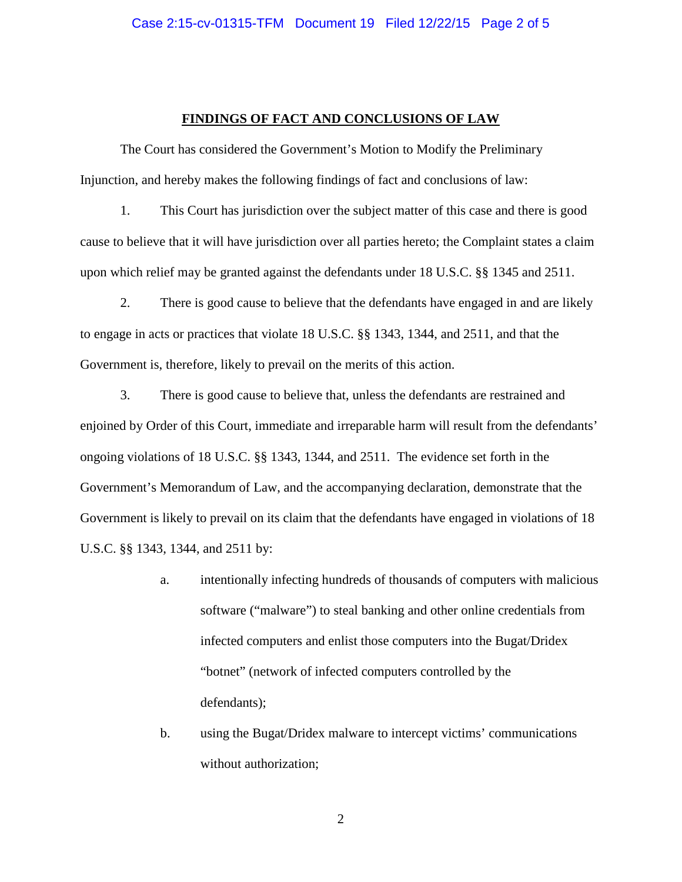#### **FINDINGS OF FACT AND CONCLUSIONS OF LAW**

The Court has considered the Government's Motion to Modify the Preliminary Injunction, and hereby makes the following findings of fact and conclusions of law:

1. This Court has jurisdiction over the subject matter of this case and there is good cause to believe that it will have jurisdiction over all parties hereto; the Complaint states a claim upon which relief may be granted against the defendants under 18 U.S.C. §§ 1345 and 2511.

2. There is good cause to believe that the defendants have engaged in and are likely to engage in acts or practices that violate 18 U.S.C. §§ 1343, 1344, and 2511, and that the Government is, therefore, likely to prevail on the merits of this action.

3. There is good cause to believe that, unless the defendants are restrained and enjoined by Order of this Court, immediate and irreparable harm will result from the defendants' ongoing violations of 18 U.S.C. §§ 1343, 1344, and 2511. The evidence set forth in the Government's Memorandum of Law, and the accompanying declaration, demonstrate that the Government is likely to prevail on its claim that the defendants have engaged in violations of 18 U.S.C. §§ 1343, 1344, and 2511 by:

- a. intentionally infecting hundreds of thousands of computers with malicious software ("malware") to steal banking and other online credentials from infected computers and enlist those computers into the Bugat/Dridex "botnet" (network of infected computers controlled by the defendants);
- b. using the Bugat/Dridex malware to intercept victims' communications without authorization;

2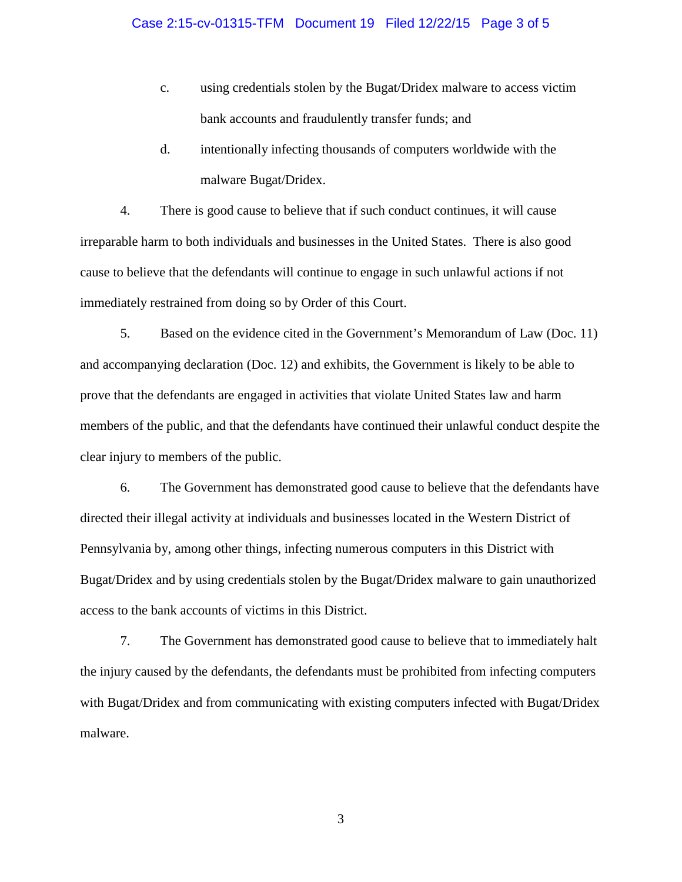- c. using credentials stolen by the Bugat/Dridex malware to access victim bank accounts and fraudulently transfer funds; and
- d. intentionally infecting thousands of computers worldwide with the malware Bugat/Dridex.

4. There is good cause to believe that if such conduct continues, it will cause irreparable harm to both individuals and businesses in the United States. There is also good cause to believe that the defendants will continue to engage in such unlawful actions if not immediately restrained from doing so by Order of this Court.

5. Based on the evidence cited in the Government's Memorandum of Law (Doc. 11) and accompanying declaration (Doc. 12) and exhibits, the Government is likely to be able to prove that the defendants are engaged in activities that violate United States law and harm members of the public, and that the defendants have continued their unlawful conduct despite the clear injury to members of the public.

6. The Government has demonstrated good cause to believe that the defendants have directed their illegal activity at individuals and businesses located in the Western District of Pennsylvania by, among other things, infecting numerous computers in this District with Bugat/Dridex and by using credentials stolen by the Bugat/Dridex malware to gain unauthorized access to the bank accounts of victims in this District.

7. The Government has demonstrated good cause to believe that to immediately halt the injury caused by the defendants, the defendants must be prohibited from infecting computers with Bugat/Dridex and from communicating with existing computers infected with Bugat/Dridex malware.

3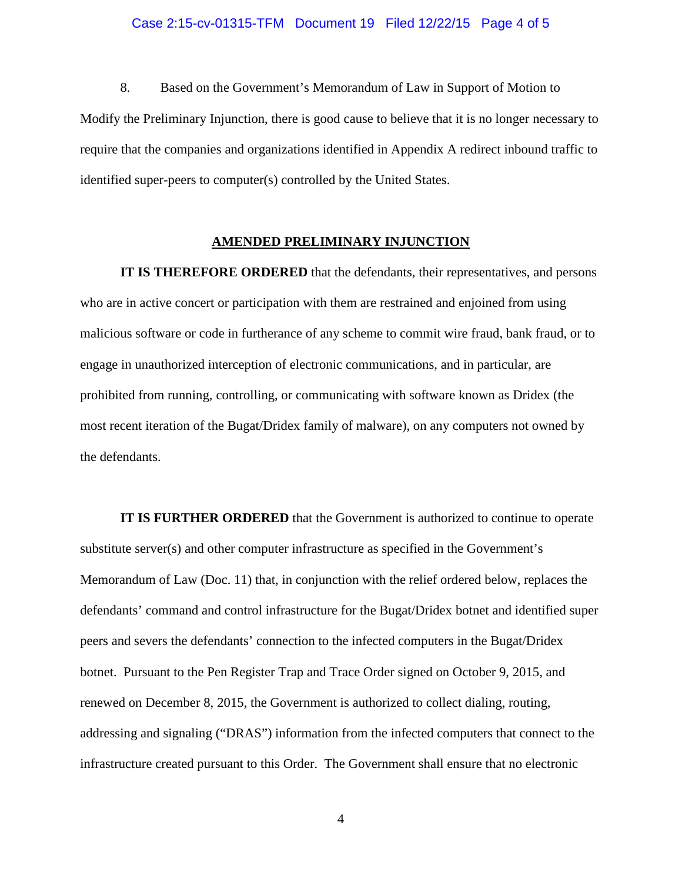### Case 2:15-cv-01315-TFM Document 19 Filed 12/22/15 Page 4 of 5

8. Based on the Government's Memorandum of Law in Support of Motion to Modify the Preliminary Injunction, there is good cause to believe that it is no longer necessary to require that the companies and organizations identified in Appendix A redirect inbound traffic to identified super-peers to computer(s) controlled by the United States.

### **AMENDED PRELIMINARY INJUNCTION**

**IT IS THEREFORE ORDERED** that the defendants, their representatives, and persons who are in active concert or participation with them are restrained and enjoined from using malicious software or code in furtherance of any scheme to commit wire fraud, bank fraud, or to engage in unauthorized interception of electronic communications, and in particular, are prohibited from running, controlling, or communicating with software known as Dridex (the most recent iteration of the Bugat/Dridex family of malware), on any computers not owned by the defendants.

**IT IS FURTHER ORDERED** that the Government is authorized to continue to operate substitute server(s) and other computer infrastructure as specified in the Government's Memorandum of Law (Doc. 11) that, in conjunction with the relief ordered below, replaces the defendants' command and control infrastructure for the Bugat/Dridex botnet and identified super peers and severs the defendants' connection to the infected computers in the Bugat/Dridex botnet. Pursuant to the Pen Register Trap and Trace Order signed on October 9, 2015, and renewed on December 8, 2015, the Government is authorized to collect dialing, routing, addressing and signaling ("DRAS") information from the infected computers that connect to the infrastructure created pursuant to this Order. The Government shall ensure that no electronic

4